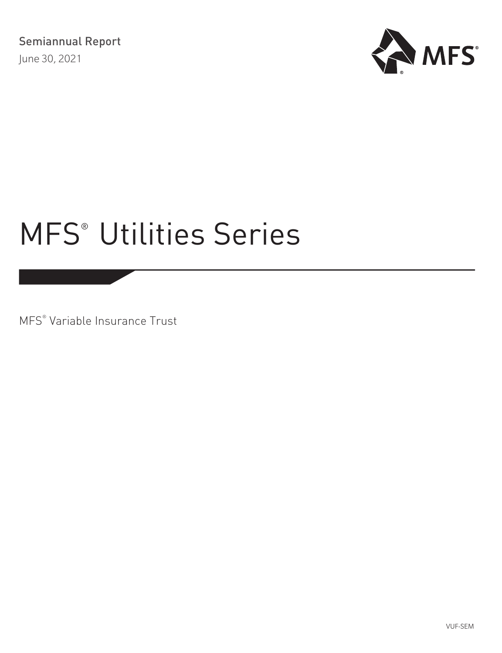

MFS® Variable Insurance Trust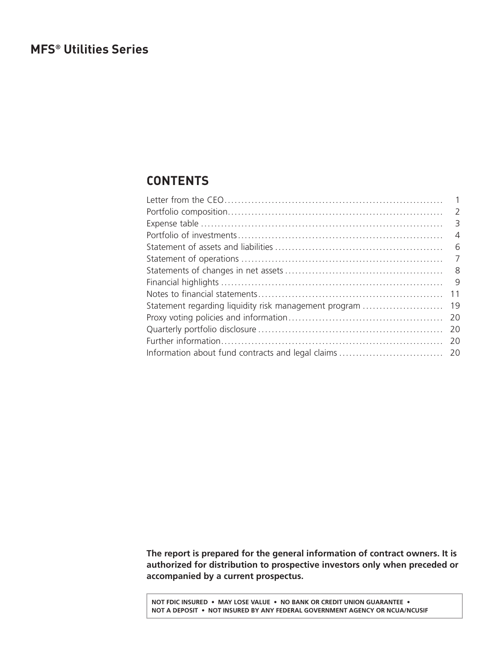# <span id="page-1-0"></span>**CONTENTS**

|                                                       | $\overline{2}$          |
|-------------------------------------------------------|-------------------------|
|                                                       | $\overline{\mathbf{3}}$ |
|                                                       | $\overline{A}$          |
|                                                       | - 6                     |
|                                                       | $\overline{7}$          |
|                                                       | - 8                     |
|                                                       | - 9                     |
|                                                       | 11                      |
| Statement regarding liquidity risk management program | 19                      |
|                                                       | -20                     |
|                                                       | 20                      |
|                                                       | 20                      |
|                                                       |                         |
|                                                       |                         |

**The report is prepared for the general information of contract owners. It is authorized for distribution to prospective investors only when preceded or accompanied by a current prospectus.**

**NOT FDIC INSURED • MAY LOSE VALUE • NO BANK OR CREDIT UNION GUARANTEE • NOT A DEPOSIT • NOT INSURED BY ANY FEDERAL GOVERNMENT AGENCY OR NCUA/NCUSIF**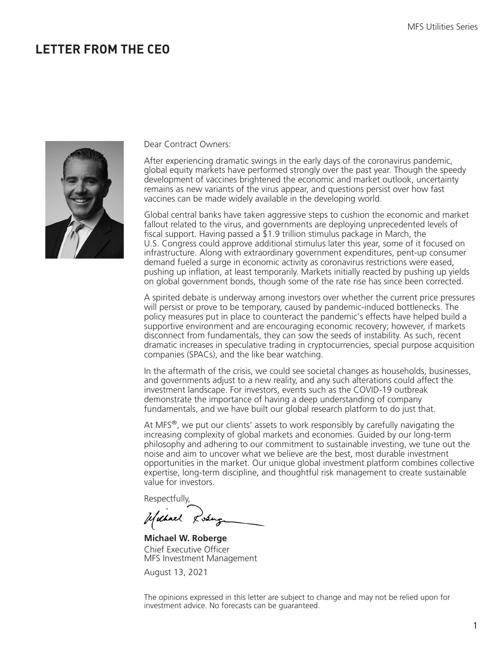### <span id="page-2-0"></span>**LETTER FROM THE CEO**



Dear Contract Owners:

After experiencing dramatic swings in the early days of the coronavirus pandemic, global equity markets have performed strongly over the past year. Though the speedy development of vaccines brightened the economic and market outlook, uncertainty remains as new variants of the virus appear, and questions persist over how fast vaccines can be made widely available in the developing world.

Global central banks have taken aggressive steps to cushion the economic and market fallout related to the virus, and governments are deploying unprecedented levels of fiscal support. Having passed a  $\overline{2}1.9$  trillion stimulus package in March, the U.S. Congress could approve additional stimulus later this year, some of it focused on infrastructure. Along with extraordinary government expenditures, pent-up consumer demand fueled a surge in economic activity as coronavirus restrictions were eased, pushing up inflation, at least temporarily. Markets initially reacted by pushing up yields on global government bonds, though some of the rate rise has since been corrected.

A spirited debate is underway among investors over whether the current price pressures will persist or prove to be temporary, caused by pandemic-induced bottlenecks. The policy measures put in place to counteract the pandemic's effects have helped build a supportive environment and are encouraging economic recovery; however, if markets disconnect from fundamentals, they can sow the seeds of instability. As such, recent dramatic increases in speculative trading in cryptocurrencies, special purpose acquisition companies (SPACs), and the like bear watching.

In the aftermath of the crisis, we could see societal changes as households, businesses, and governments adjust to a new reality, and any such alterations could affect the investment landscape. For investors, events such as the COVID-19 outbreak demonstrate the importance of having a deep understanding of company fundamentals, and we have built our global research platform to do just that.

At MFS $^{\circ}$ , we put our clients' assets to work responsibly by carefully navigating the increasing complexity of global markets and economies. Guided by our long-term philosophy and adhering to our commitment to sustainable investing, we tune out the noise and aim to uncover what we believe are the best, most durable investment opportunities in the market. Our unique global investment platform combines collective expertise, long-term discipline, and thoughtful risk management to create sustainable value for investors.

Respectfully,

Usebuel Losing

**Michael W. Roberge** Chief Executive Officer MFS Investment Management

August 13, 2021

The opinions expressed in this letter are subject to change and may not be relied upon for investment advice. No forecasts can be guaranteed.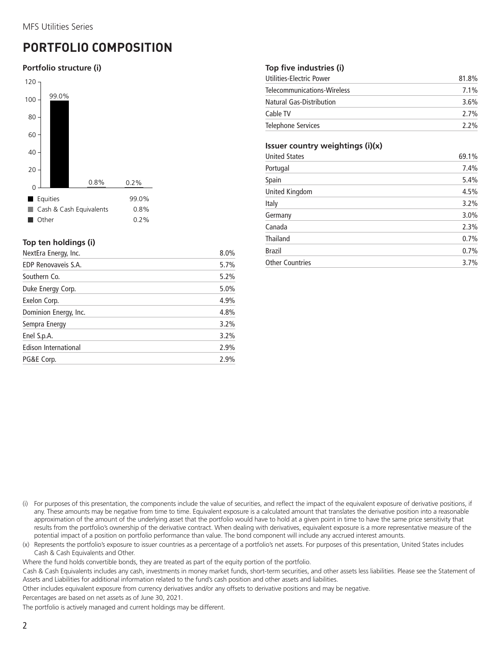# <span id="page-3-0"></span>**PORTFOLIO COMPOSITION**

### **Portfolio structure (i)**



### **Top ten holdings (i)**

| NextEra Energy, Inc.  | 8.0% |
|-----------------------|------|
| EDP Renovaveis S.A.   | 5.7% |
| Southern Co.          | 5.2% |
| Duke Energy Corp.     | 5.0% |
| Exelon Corp.          | 4.9% |
| Dominion Energy, Inc. | 4.8% |
| Sempra Energy         | 3.2% |
| Enel S.p.A.           | 3.2% |
| Edison International  | 2.9% |
| PG&E Corp.            | 2.9% |
|                       |      |

### **Top five industries (i)**

| Utilities-Electric Power        | 81.8%   |
|---------------------------------|---------|
| Telecommunications-Wireless     | $7.1\%$ |
| <b>Natural Gas-Distribution</b> | 3.6%    |
| Cable TV                        | 2.7%    |
| Telephone Services              | 2.2%    |

### **Issuer country weightings (i)(x)**

| <b>United States</b>   | 69.1% |
|------------------------|-------|
| Portugal               | 7.4%  |
| Spain                  | 5.4%  |
| United Kingdom         | 4.5%  |
| Italy                  | 3.2%  |
| Germany                | 3.0%  |
| Canada                 | 2.3%  |
| <b>Thailand</b>        | 0.7%  |
| <b>Brazil</b>          | 0.7%  |
| <b>Other Countries</b> | 3.7%  |

- (i) For purposes of this presentation, the components include the value of securities, and reflect the impact of the equivalent exposure of derivative positions, if any. These amounts may be negative from time to time. Equivalent exposure is a calculated amount that translates the derivative position into a reasonable approximation of the amount of the underlying asset that the portfolio would have to hold at a given point in time to have the same price sensitivity that results from the portfolio's ownership of the derivative contract. When dealing with derivatives, equivalent exposure is a more representative measure of the potential impact of a position on portfolio performance than value. The bond component will include any accrued interest amounts.
- (x) Represents the portfolio's exposure to issuer countries as a percentage of a portfolio's net assets. For purposes of this presentation, United States includes Cash & Cash Equivalents and Other.

Where the fund holds convertible bonds, they are treated as part of the equity portion of the portfolio.

Cash & Cash Equivalents includes any cash, investments in money market funds, short-term securities, and other assets less liabilities. Please see the Statement of Assets and Liabilities for additional information related to the fund's cash position and other assets and liabilities.

Other includes equivalent exposure from currency derivatives and/or any offsets to derivative positions and may be negative.

Percentages are based on net assets as of June 30, 2021.

The portfolio is actively managed and current holdings may be different.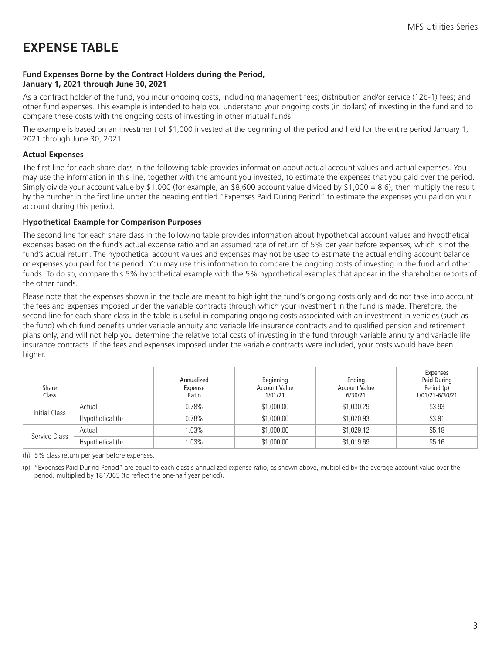# <span id="page-4-0"></span>**EXPENSE TABLE**

### **Fund Expenses Borne by the Contract Holders during the Period, January 1, 2021 through June 30, 2021**

As a contract holder of the fund, you incur ongoing costs, including management fees; distribution and/or service (12b-1) fees; and other fund expenses. This example is intended to help you understand your ongoing costs (in dollars) of investing in the fund and to compare these costs with the ongoing costs of investing in other mutual funds.

The example is based on an investment of \$1,000 invested at the beginning of the period and held for the entire period January 1, 2021 through June 30, 2021.

### **Actual Expenses**

The first line for each share class in the following table provides information about actual account values and actual expenses. You may use the information in this line, together with the amount you invested, to estimate the expenses that you paid over the period. Simply divide your account value by \$1,000 (for example, an \$8,600 account value divided by \$1,000 = 8.6), then multiply the result by the number in the first line under the heading entitled "Expenses Paid During Period" to estimate the expenses you paid on your account during this period.

### **Hypothetical Example for Comparison Purposes**

The second line for each share class in the following table provides information about hypothetical account values and hypothetical expenses based on the fund's actual expense ratio and an assumed rate of return of 5% per year before expenses, which is not the fund's actual return. The hypothetical account values and expenses may not be used to estimate the actual ending account balance or expenses you paid for the period. You may use this information to compare the ongoing costs of investing in the fund and other funds. To do so, compare this 5% hypothetical example with the 5% hypothetical examples that appear in the shareholder reports of the other funds.

Please note that the expenses shown in the table are meant to highlight the fund's ongoing costs only and do not take into account the fees and expenses imposed under the variable contracts through which your investment in the fund is made. Therefore, the second line for each share class in the table is useful in comparing ongoing costs associated with an investment in vehicles (such as the fund) which fund benefits under variable annuity and variable life insurance contracts and to qualified pension and retirement plans only, and will not help you determine the relative total costs of investing in the fund through variable annuity and variable life insurance contracts. If the fees and expenses imposed under the variable contracts were included, your costs would have been higher.

| Share<br>Class |                  | Annualized<br>Expense<br>Ratio | Beginning<br><b>Account Value</b><br>1/01/21 | Ending<br><b>Account Value</b><br>6/30/21 | Expenses<br>Paid During<br>Period (p)<br>1/01/21-6/30/21 |
|----------------|------------------|--------------------------------|----------------------------------------------|-------------------------------------------|----------------------------------------------------------|
| Initial Class  | Actual           | 0.78%                          | \$1,000.00                                   | \$1,030.29                                | \$3.93                                                   |
|                | Hypothetical (h) | 0.78%                          | \$1,000.00                                   | \$1,020.93                                | \$3.91                                                   |
|                | Actual           | 1.03%                          | \$1,000.00                                   | \$1,029.12                                | \$5.18                                                   |
| Service Class  | Hypothetical (h) | 1.03%                          | \$1,000.00                                   | \$1,019.69                                | \$5.16                                                   |

(h) 5% class return per year before expenses.

(p) "Expenses Paid During Period" are equal to each class's annualized expense ratio, as shown above, multiplied by the average account value over the period, multiplied by 181/365 (to reflect the one-half year period).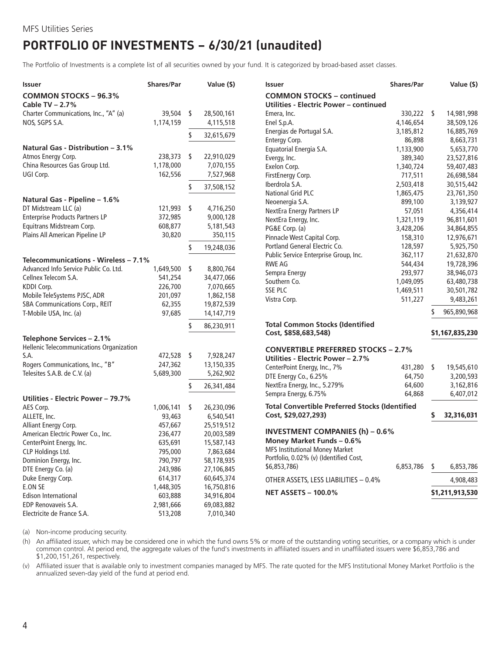# <span id="page-5-0"></span>**PORTFOLIO OF INVESTMENTS − 6/30/21 (unaudited)**

The Portfolio of Investments is a complete list of all securities owned by your fund. It is categorized by broad-based asset classes.

| Issuer                                   | <b>Shares/Par</b> |      | Value (\$) | Issuer                                                | <b>Shares/Par</b> | Value (\$)       |
|------------------------------------------|-------------------|------|------------|-------------------------------------------------------|-------------------|------------------|
| <b>COMMON STOCKS - 96.3%</b>             |                   |      |            | <b>COMMON STOCKS - continued</b>                      |                   |                  |
| Cable TV - 2.7%                          |                   |      |            | Utilities - Electric Power - continued                |                   |                  |
| Charter Communications, Inc., "A" (a)    | 39,504 \$         |      | 28,500,161 | Emera, Inc.                                           | 330,222 \$        | 14,981,998       |
| NOS, SGPS S.A.                           | 1,174,159         |      | 4,115,518  | Enel S.p.A.                                           | 4,146,654         | 38,509,126       |
|                                          |                   | \$   | 32,615,679 | Energias de Portugal S.A.                             | 3,185,812         | 16,885,769       |
|                                          |                   |      |            | Entergy Corp.                                         | 86,898            | 8,663,731        |
| <b>Natural Gas - Distribution - 3.1%</b> |                   |      |            | Equatorial Energia S.A.                               | 1,133,900         | 5,653,770        |
| Atmos Energy Corp.                       | 238,373           | - \$ | 22,910,029 | Evergy, Inc.                                          | 389,340           | 23,527,816       |
| China Resources Gas Group Ltd.           | 1,178,000         |      | 7,070,155  | Exelon Corp.                                          | 1,340,724         | 59,407,483       |
| UGI Corp.                                | 162,556           |      | 7,527,968  | FirstEnergy Corp.                                     | 717,511           | 26,698,584       |
|                                          |                   | \$   | 37,508,152 | Iberdrola S.A.                                        | 2,503,418         | 30,515,442       |
|                                          |                   |      |            | National Grid PLC                                     | 1,865,475         | 23,761,350       |
| Natural Gas - Pipeline - 1.6%            |                   |      |            | Neoenergia S.A.                                       | 899,100           | 3,139,927        |
| DT Midstream LLC (a)                     | 121,993           | - \$ | 4,716,250  | NextEra Energy Partners LP                            | 57,051            | 4,356,414        |
| <b>Enterprise Products Partners LP</b>   | 372,985           |      | 9,000,128  | NextEra Energy, Inc.                                  | 1,321,119         | 96,811,601       |
| Equitrans Midstream Corp.                | 608,877           |      | 5,181,543  | PG&E Corp. (a)                                        | 3,428,206         | 34,864,855       |
| Plains All American Pipeline LP          | 30,820            |      | 350,115    | Pinnacle West Capital Corp.                           | 158,310           | 12,976,671       |
|                                          |                   | \$   |            | Portland General Electric Co.                         | 128,597           | 5,925,750        |
|                                          |                   |      | 19,248,036 | Public Service Enterprise Group, Inc.                 | 362,117           | 21,632,870       |
| Telecommunications - Wireless - 7.1%     |                   |      |            | <b>RWE AG</b>                                         | 544,434           | 19,728,396       |
| Advanced Info Service Public Co. Ltd.    | 1,649,500 \$      |      | 8,800,764  | Sempra Energy                                         | 293,977           |                  |
| Cellnex Telecom S.A.                     | 541,254           |      | 34,477,066 | Southern Co.                                          | 1,049,095         | 38,946,073       |
| KDDI Corp.                               | 226,700           |      | 7,070,665  |                                                       |                   | 63,480,738       |
| Mobile TeleSystems PJSC, ADR             | 201,097           |      | 1,862,158  | <b>SSE PLC</b>                                        | 1,469,511         | 30,501,782       |
| SBA Communications Corp., REIT           | 62,355            |      | 19,872,539 | Vistra Corp.                                          | 511,227           | 9,483,261        |
| T-Mobile USA, Inc. (a)                   | 97,685            |      | 14,147,719 |                                                       |                   | 965,890,968      |
|                                          |                   |      |            | <b>Total Common Stocks (Identified</b>                |                   |                  |
|                                          |                   | \$   | 86,230,911 | Cost, \$858,683,548)                                  |                   | \$1,167,835,230  |
| Telephone Services - 2.1%                |                   |      |            |                                                       |                   |                  |
| Hellenic Telecommunications Organization |                   |      |            | <b>CONVERTIBLE PREFERRED STOCKS - 2.7%</b>            |                   |                  |
| S.A.                                     | 472,528 \$        |      | 7,928,247  | Utilities - Electric Power - 2.7%                     |                   |                  |
| Rogers Communications, Inc., "B"         | 247,362           |      | 13,150,335 | CenterPoint Energy, Inc., 7%                          | 431,280 \$        | 19,545,610       |
| Telesites S.A.B. de C.V. (a)             | 5,689,300         |      | 5,262,902  | DTE Energy Co., 6.25%                                 | 64,750            | 3,200,593        |
|                                          |                   | \$   |            | NextEra Energy, Inc., 5.279%                          | 64,600            | 3,162,816        |
|                                          |                   |      | 26,341,484 | Sempra Energy, 6.75%                                  | 64,868            | 6,407,012        |
| Utilities - Electric Power - 79.7%       |                   |      |            |                                                       |                   |                  |
| AES Corp.                                | 1,006,141         | \$   | 26,230,096 | <b>Total Convertible Preferred Stocks (Identified</b> |                   |                  |
| ALLETE, Inc.                             | 93,463            |      | 6,540,541  | Cost, \$29,027,293)                                   |                   | \$<br>32,316,031 |
| Alliant Energy Corp.                     | 457,667           |      | 25,519,512 |                                                       |                   |                  |
| American Electric Power Co., Inc.        | 236,477           |      | 20,003,589 | <b>INVESTMENT COMPANIES (h) - 0.6%</b>                |                   |                  |
| CenterPoint Energy, Inc.                 | 635,691           |      | 15,587,143 | Money Market Funds - 0.6%                             |                   |                  |
| CLP Holdings Ltd.                        | 795,000           |      | 7,863,684  | <b>MFS Institutional Money Market</b>                 |                   |                  |
| Dominion Energy, Inc.                    | 790,797           |      | 58,178,935 | Portfolio, 0.02% (v) (Identified Cost,                |                   |                  |
| DTE Energy Co. (a)                       | 243,986           |      | 27,106,845 | \$6,853,786)                                          | 6,853,786         | \$<br>6,853,786  |
| Duke Energy Corp.                        | 614,317           |      | 60,645,374 | OTHER ASSETS, LESS LIABILITIES - 0.4%                 |                   | 4,908,483        |
| E.ON SE                                  | 1,448,305         |      | 16,750,816 |                                                       |                   |                  |
| <b>Edison International</b>              | 603,888           |      | 34,916,804 | <b>NET ASSETS - 100.0%</b>                            |                   | \$1,211,913,530  |
| EDP Renovaveis S.A.                      | 2,981,666         |      | 69,083,882 |                                                       |                   |                  |
| Electricite de France S.A.               | 513,208           |      | 7,010,340  |                                                       |                   |                  |

(a) Non-income producing security.

(h) An affiliated issuer, which may be considered one in which the fund owns 5% or more of the outstanding voting securities, or a company which is under common control. At period end, the aggregate values of the fund's investments in affiliated issuers and in unaffiliated issuers were \$6,853,786 and \$1,200,151,261, respectively.

(v) Affiliated issuer that is available only to investment companies managed by MFS. The rate quoted for the MFS Institutional Money Market Portfolio is the annualized seven-day yield of the fund at period end.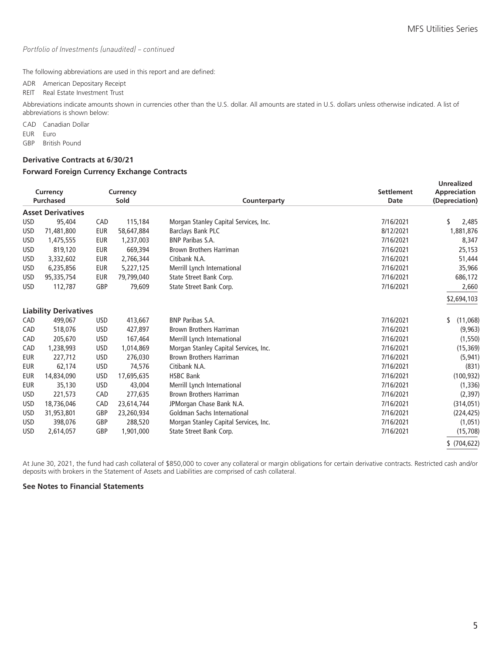#### *Portfolio of Investments (unaudited) – continued*

The following abbreviations are used in this report and are defined:

ADR American Depositary Receipt

REIT Real Estate Investment Trust

Abbreviations indicate amounts shown in currencies other than the U.S. dollar. All amounts are stated in U.S. dollars unless otherwise indicated. A list of abbreviations is shown below:

CAD Canadian Dollar

EUR Euro

GBP British Pound

### **Derivative Contracts at 6/30/21**

#### **Forward Foreign Currency Exchange Contracts**

|            | Currency<br><b>Purchased</b> |            | Currency<br>Sold | Counterparty                          | <b>Settlement</b><br>Date | <b>Unrealized</b><br>Appreciation<br>(Depreciation) |
|------------|------------------------------|------------|------------------|---------------------------------------|---------------------------|-----------------------------------------------------|
|            | <b>Asset Derivatives</b>     |            |                  |                                       |                           |                                                     |
| <b>USD</b> | 95,404                       | CAD        | 115,184          | Morgan Stanley Capital Services, Inc. | 7/16/2021                 | S<br>2,485                                          |
| <b>USD</b> | 71,481,800                   | <b>EUR</b> | 58,647,884       | <b>Barclays Bank PLC</b>              | 8/12/2021                 | 1,881,876                                           |
| <b>USD</b> | 1,475,555                    | <b>EUR</b> | 1,237,003        | <b>BNP Paribas S.A.</b>               | 7/16/2021                 | 8,347                                               |
| <b>USD</b> | 819,120                      | <b>EUR</b> | 669,394          | <b>Brown Brothers Harriman</b>        | 7/16/2021                 | 25,153                                              |
| <b>USD</b> | 3,332,602                    | <b>EUR</b> | 2,766,344        | Citibank N.A.                         | 7/16/2021                 | 51,444                                              |
| <b>USD</b> | 6,235,856                    | <b>EUR</b> | 5,227,125        | Merrill Lynch International           | 7/16/2021                 | 35,966                                              |
| <b>USD</b> | 95,335,754                   | <b>EUR</b> | 79,799,040       | State Street Bank Corp.               | 7/16/2021                 | 686,172                                             |
| <b>USD</b> | 112,787                      | GBP        | 79,609           | State Street Bank Corp.               | 7/16/2021                 | 2,660                                               |
|            |                              |            |                  |                                       |                           | \$2,694,103                                         |
|            | <b>Liability Derivatives</b> |            |                  |                                       |                           |                                                     |
| CAD        | 499,067                      | <b>USD</b> | 413,667          | <b>BNP Paribas S.A.</b>               | 7/16/2021                 | s<br>(11,068)                                       |
| CAD        | 518,076                      | <b>USD</b> | 427,897          | <b>Brown Brothers Harriman</b>        | 7/16/2021                 | (9,963)                                             |
| CAD        | 205,670                      | <b>USD</b> | 167,464          | Merrill Lynch International           | 7/16/2021                 | (1, 550)                                            |
| CAD        | 1,238,993                    | <b>USD</b> | 1,014,869        | Morgan Stanley Capital Services, Inc. | 7/16/2021                 | (15, 369)                                           |
| <b>EUR</b> | 227,712                      | <b>USD</b> | 276,030          | <b>Brown Brothers Harriman</b>        | 7/16/2021                 | (5, 941)                                            |
| <b>EUR</b> | 62,174                       | <b>USD</b> | 74,576           | Citibank N.A.                         | 7/16/2021                 | (831)                                               |
| <b>EUR</b> | 14,834,090                   | <b>USD</b> | 17,695,635       | <b>HSBC Bank</b>                      | 7/16/2021                 | (100, 932)                                          |
| <b>EUR</b> | 35,130                       | <b>USD</b> | 43,004           | Merrill Lynch International           | 7/16/2021                 | (1, 336)                                            |
| <b>USD</b> | 221,573                      | CAD        | 277,635          | <b>Brown Brothers Harriman</b>        | 7/16/2021                 | (2, 397)                                            |
| <b>USD</b> | 18,736,046                   | CAD        | 23,614,744       | JPMorgan Chase Bank N.A.              | 7/16/2021                 | (314, 051)                                          |
| <b>USD</b> | 31,953,801                   | GBP        | 23,260,934       | Goldman Sachs International           | 7/16/2021                 | (224, 425)                                          |
| <b>USD</b> | 398,076                      | GBP        | 288,520          | Morgan Stanley Capital Services, Inc. | 7/16/2021                 | (1,051)                                             |
| <b>USD</b> | 2,614,057                    | GBP        | 1,901,000        | State Street Bank Corp.               | 7/16/2021                 | (15,708)                                            |
|            |                              |            |                  |                                       |                           | \$(704, 622)                                        |

At June 30, 2021, the fund had cash collateral of \$850,000 to cover any collateral or margin obligations for certain derivative contracts. Restricted cash and/or deposits with brokers in the Statement of Assets and Liabilities are comprised of cash collateral.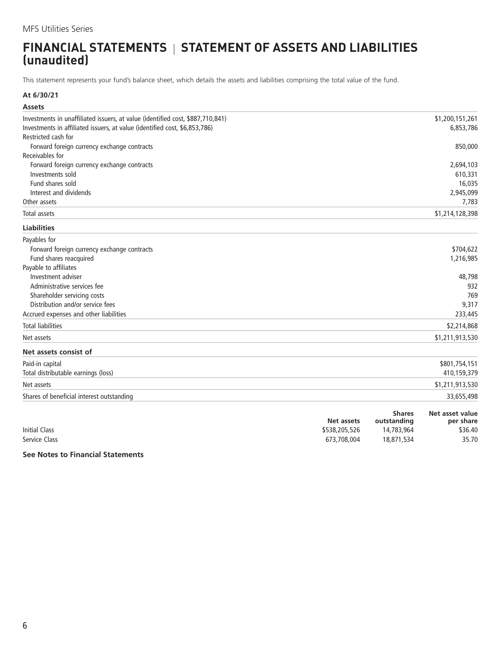### <span id="page-7-0"></span>**FINANCIAL STATEMENTS | STATEMENT OF ASSETS AND LIABILITIES (unaudited)**

This statement represents your fund's balance sheet, which details the assets and liabilities comprising the total value of the fund.

### **At 6/30/21**

| <b>Assets</b>                                                                  |                                  |
|--------------------------------------------------------------------------------|----------------------------------|
| Investments in unaffiliated issuers, at value (identified cost, \$887,710,841) | \$1,200,151,261                  |
| Investments in affiliated issuers, at value (identified cost, \$6,853,786)     | 6,853,786                        |
| Restricted cash for                                                            |                                  |
| Forward foreign currency exchange contracts                                    | 850,000                          |
| Receivables for                                                                |                                  |
| Forward foreign currency exchange contracts                                    | 2,694,103                        |
| Investments sold                                                               | 610,331                          |
| Fund shares sold                                                               | 16,035                           |
| Interest and dividends                                                         | 2,945,099                        |
| Other assets                                                                   | 7,783                            |
| Total assets                                                                   | \$1,214,128,398                  |
| <b>Liabilities</b>                                                             |                                  |
| Payables for                                                                   |                                  |
| Forward foreign currency exchange contracts                                    | \$704,622                        |
| Fund shares reacquired                                                         | 1,216,985                        |
| Payable to affiliates                                                          |                                  |
| Investment adviser                                                             | 48,798                           |
| Administrative services fee                                                    | 932                              |
| Shareholder servicing costs                                                    | 769                              |
| Distribution and/or service fees                                               | 9,317                            |
| Accrued expenses and other liabilities                                         | 233,445                          |
| <b>Total liabilities</b>                                                       | \$2,214,868                      |
| Net assets                                                                     | \$1,211,913,530                  |
| Net assets consist of                                                          |                                  |
| Paid-in capital                                                                | \$801,754,151                    |
| Total distributable earnings (loss)                                            | 410,159,379                      |
| Net assets                                                                     | \$1,211,913,530                  |
| Shares of beneficial interest outstanding                                      | 33,655,498                       |
|                                                                                | <b>Shares</b><br>Net asset value |

|                      | Net assets    | <b>Shares</b><br>outstanding | Net asset value<br>per share |
|----------------------|---------------|------------------------------|------------------------------|
| <b>Initial Class</b> | \$538,205,526 | 14,783,964                   | \$36.40                      |
| Service Class        | 673,708,004   | 18,871,534                   | 35.70                        |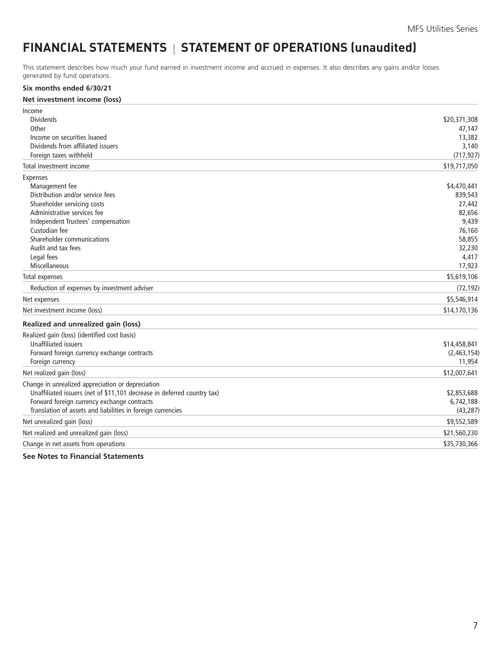# <span id="page-8-0"></span>FINANCIAL STATEMENTS | STATEMENT OF OPERATIONS (unaudited)

This statement describes how much your fund earned in investment income and accrued in expenses. It also describes any gains and/or losses generated by fund operations.

#### **Six months ended 6/30/21**

#### **Net investment income (loss)**

| Income                                                                  |              |
|-------------------------------------------------------------------------|--------------|
| <b>Dividends</b>                                                        | \$20,371,308 |
| Other                                                                   | 47,147       |
| Income on securities loaned                                             | 13,382       |
| Dividends from affiliated issuers                                       | 3,140        |
| Foreign taxes withheld                                                  | (717, 927)   |
| Total investment income                                                 | \$19,717,050 |
| <b>Expenses</b>                                                         |              |
| Management fee                                                          | \$4,470,441  |
| Distribution and/or service fees                                        | 839,543      |
| Shareholder servicing costs                                             | 27,442       |
| Administrative services fee                                             | 82,656       |
| Independent Trustees' compensation                                      | 9,439        |
| Custodian fee                                                           | 76,160       |
| Shareholder communications                                              | 58,855       |
| Audit and tax fees                                                      | 32,230       |
| Legal fees                                                              | 4,417        |
| Miscellaneous                                                           | 17,923       |
| <b>Total expenses</b>                                                   | \$5,619,106  |
| Reduction of expenses by investment adviser                             | (72, 192)    |
| Net expenses                                                            | \$5,546,914  |
| Net investment income (loss)                                            | \$14,170,136 |
| Realized and unrealized gain (loss)                                     |              |
| Realized gain (loss) (identified cost basis)                            |              |
| <b>Unaffiliated issuers</b>                                             | \$14,458,841 |
| Forward foreign currency exchange contracts                             | (2,463,154)  |
| Foreign currency                                                        | 11,954       |
| Net realized gain (loss)                                                | \$12,007,641 |
| Change in unrealized appreciation or depreciation                       |              |
| Unaffiliated issuers (net of \$11,101 decrease in deferred country tax) | \$2,853,688  |
| Forward foreign currency exchange contracts                             | 6,742,188    |
| Translation of assets and liabilities in foreign currencies             | (43, 287)    |
| Net unrealized gain (loss)                                              | \$9,552,589  |
| Net realized and unrealized gain (loss)                                 | \$21,560,230 |
| Change in net assets from operations                                    | \$35,730,366 |
|                                                                         |              |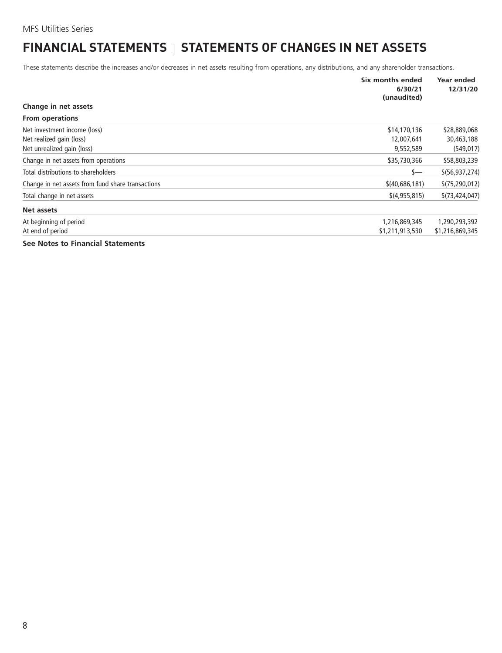# <span id="page-9-0"></span>**FINANCIAL STATEMENTS | STATEMENTS OF CHANGES IN NET ASSETS**

These statements describe the increases and/or decreases in net assets resulting from operations, any distributions, and any shareholder transactions.

|                                                   | Six months ended<br>6/30/21<br>(unaudited) | Year ended<br>12/31/20 |
|---------------------------------------------------|--------------------------------------------|------------------------|
| Change in net assets                              |                                            |                        |
| <b>From operations</b>                            |                                            |                        |
| Net investment income (loss)                      | \$14,170,136                               | \$28,889,068           |
| Net realized gain (loss)                          | 12,007,641                                 | 30,463,188             |
| Net unrealized gain (loss)                        | 9,552,589                                  | (549, 017)             |
| Change in net assets from operations              | \$35,730,366                               | \$58,803,239           |
| Total distributions to shareholders               | \$—                                        | \$(56, 937, 274)       |
| Change in net assets from fund share transactions | \$(40,686,181)                             | \$(75, 290, 012)       |
| Total change in net assets                        | \$(4,955,815)                              | \$(73, 424, 047)       |
| Net assets                                        |                                            |                        |
| At beginning of period                            | 1,216,869,345                              | 1,290,293,392          |
| At end of period                                  | \$1,211,913,530                            | \$1,216,869,345        |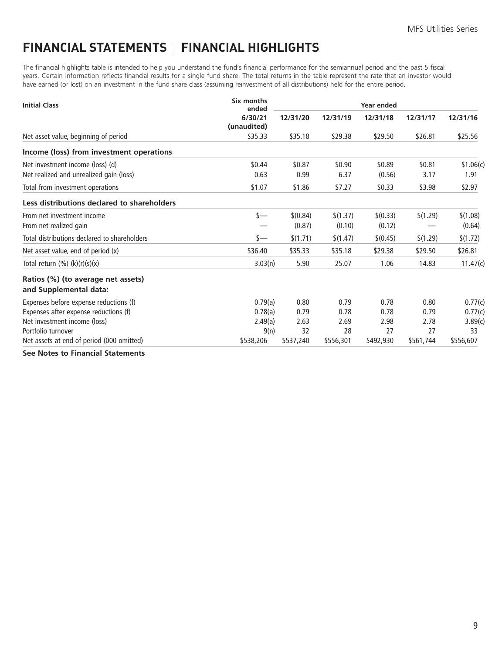# <span id="page-10-0"></span>**FINANCIAL STATEMENTS FINANCIAL HIGHLIGHTS**

The financial highlights table is intended to help you understand the fund's financial performance for the semiannual period and the past 5 fiscal years. Certain information reflects financial results for a single fund share. The total returns in the table represent the rate that an investor would have earned (or lost) on an investment in the fund share class (assuming reinvestment of all distributions) held for the entire period.

| <b>Initial Class</b>                                         | Six months<br>ended    |           |           | <b>Year ended</b> |           |           |
|--------------------------------------------------------------|------------------------|-----------|-----------|-------------------|-----------|-----------|
|                                                              | 6/30/21<br>(unaudited) | 12/31/20  | 12/31/19  | 12/31/18          | 12/31/17  | 12/31/16  |
| Net asset value, beginning of period                         | \$35.33                | \$35.18   | \$29.38   | \$29.50           | \$26.81   | \$25.56   |
| Income (loss) from investment operations                     |                        |           |           |                   |           |           |
| Net investment income (loss) (d)                             | \$0.44                 | \$0.87    | \$0.90    | \$0.89            | \$0.81    | \$1.06(c) |
| Net realized and unrealized gain (loss)                      | 0.63                   | 0.99      | 6.37      | (0.56)            | 3.17      | 1.91      |
| Total from investment operations                             | \$1.07                 | \$1.86    | \$7.27    | \$0.33            | \$3.98    | \$2.97    |
| Less distributions declared to shareholders                  |                        |           |           |                   |           |           |
| From net investment income                                   | s—                     | \$(0.84)  | \$(1.37)  | \$(0.33)          | \$(1.29)  | \$(1.08)  |
| From net realized gain                                       |                        | (0.87)    | (0.10)    | (0.12)            |           | (0.64)    |
| Total distributions declared to shareholders                 | s—                     | \$(1.71)  | \$(1.47)  | \$(0.45)          | \$(1.29)  | \$(1.72)  |
| Net asset value, end of period (x)                           | \$36.40                | \$35.33   | \$35.18   | \$29.38           | \$29.50   | \$26.81   |
| Total return $(\%) (k)(r)(s)(x)$                             | 3.03(n)                | 5.90      | 25.07     | 1.06              | 14.83     | 11.47(c)  |
| Ratios (%) (to average net assets)<br>and Supplemental data: |                        |           |           |                   |           |           |
| Expenses before expense reductions (f)                       | 0.79(a)                | 0.80      | 0.79      | 0.78              | 0.80      | 0.77(c)   |
| Expenses after expense reductions (f)                        | 0.78(a)                | 0.79      | 0.78      | 0.78              | 0.79      | 0.77(c)   |
| Net investment income (loss)                                 | 2.49(a)                | 2.63      | 2.69      | 2.98              | 2.78      | 3.89(c)   |
| Portfolio turnover                                           | 9(n)                   | 32        | 28        | 27                | 27        | 33        |
| Net assets at end of period (000 omitted)                    | \$538,206              | \$537,240 | \$556,301 | \$492,930         | \$561,744 | \$556,607 |
| .                                                            |                        |           |           |                   |           |           |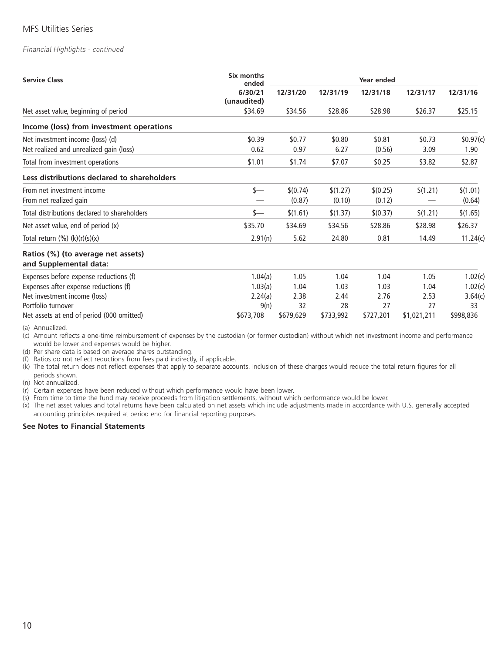#### *Financial Highlights - continued*

| <b>Service Class</b>                                         | Six months<br>ended    | Year ended |           |           |             |           |
|--------------------------------------------------------------|------------------------|------------|-----------|-----------|-------------|-----------|
|                                                              | 6/30/21<br>(unaudited) | 12/31/20   | 12/31/19  | 12/31/18  | 12/31/17    | 12/31/16  |
| Net asset value, beginning of period                         | \$34.69                | \$34.56    | \$28.86   | \$28.98   | \$26.37     | \$25.15   |
| Income (loss) from investment operations                     |                        |            |           |           |             |           |
| Net investment income (loss) (d)                             | \$0.39                 | \$0.77     | \$0.80    | \$0.81    | \$0.73      | \$0.97(c) |
| Net realized and unrealized gain (loss)                      | 0.62                   | 0.97       | 6.27      | (0.56)    | 3.09        | 1.90      |
| Total from investment operations                             | \$1.01                 | \$1.74     | \$7.07    | \$0.25    | \$3.82      | \$2.87    |
| Less distributions declared to shareholders                  |                        |            |           |           |             |           |
| From net investment income                                   | s—                     | \$(0.74)   | \$(1.27)  | \$(0.25)  | \$(1.21)    | \$(1.01)  |
| From net realized gain                                       |                        | (0.87)     | (0.10)    | (0.12)    |             | (0.64)    |
| Total distributions declared to shareholders                 | s—                     | \$(1.61)   | \$(1.37)  | \$(0.37)  | \$(1.21)    | \$(1.65)  |
| Net asset value, end of period (x)                           | \$35.70                | \$34.69    | \$34.56   | \$28.86   | \$28.98     | \$26.37   |
| Total return $(\%) (k)(r)(s)(x)$                             | 2.91(n)                | 5.62       | 24.80     | 0.81      | 14.49       | 11.24(c)  |
| Ratios (%) (to average net assets)<br>and Supplemental data: |                        |            |           |           |             |           |
| Expenses before expense reductions (f)                       | 1.04(a)                | 1.05       | 1.04      | 1.04      | 1.05        | 1.02(c)   |
| Expenses after expense reductions (f)                        | 1.03(a)                | 1.04       | 1.03      | 1.03      | 1.04        | 1.02(c)   |
| Net investment income (loss)                                 | 2.24(a)                | 2.38       | 2.44      | 2.76      | 2.53        | 3.64(c)   |
| Portfolio turnover                                           | 9(n)                   | 32         | 28        | 27        | 27          | 33        |
| Net assets at end of period (000 omitted)                    | \$673,708              | \$679,629  | \$733,992 | \$727,201 | \$1,021,211 | \$998,836 |

(a) Annualized.

(c) Amount reflects a one-time reimbursement of expenses by the custodian (or former custodian) without which net investment income and performance would be lower and expenses would be higher.

(d) Per share data is based on average shares outstanding.

(f) Ratios do not reflect reductions from fees paid indirectly, if applicable.

(k) The total return does not reflect expenses that apply to separate accounts. Inclusion of these charges would reduce the total return figures for all periods shown.

(n) Not annualized.

(r) Certain expenses have been reduced without which performance would have been lower.

(s) From time to time the fund may receive proceeds from litigation settlements, without which performance would be lower.

(x) The net asset values and total returns have been calculated on net assets which include adjustments made in accordance with U.S. generally accepted accounting principles required at period end for financial reporting purposes.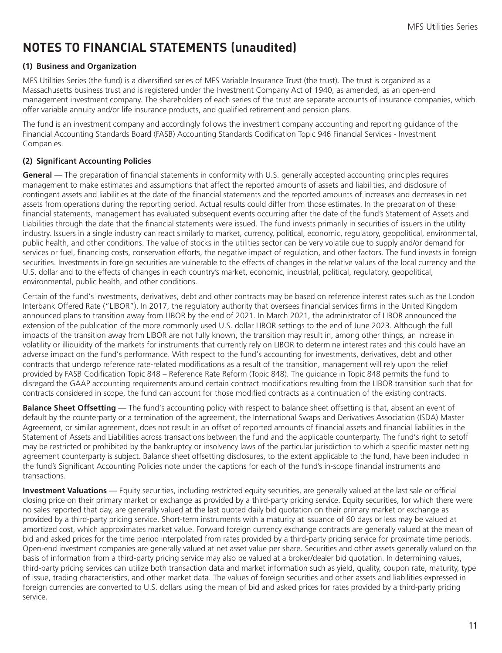# <span id="page-12-0"></span>**NOTES TO FINANCIAL STATEMENTS (unaudited)**

### **(1) Business and Organization**

MFS Utilities Series (the fund) is a diversified series of MFS Variable Insurance Trust (the trust). The trust is organized as a Massachusetts business trust and is registered under the Investment Company Act of 1940, as amended, as an open-end management investment company. The shareholders of each series of the trust are separate accounts of insurance companies, which offer variable annuity and/or life insurance products, and qualified retirement and pension plans.

The fund is an investment company and accordingly follows the investment company accounting and reporting guidance of the Financial Accounting Standards Board (FASB) Accounting Standards Codification Topic 946 Financial Services - Investment Companies.

### **(2) Significant Accounting Policies**

**General** — The preparation of financial statements in conformity with U.S. generally accepted accounting principles requires management to make estimates and assumptions that affect the reported amounts of assets and liabilities, and disclosure of contingent assets and liabilities at the date of the financial statements and the reported amounts of increases and decreases in net assets from operations during the reporting period. Actual results could differ from those estimates. In the preparation of these financial statements, management has evaluated subsequent events occurring after the date of the fund's Statement of Assets and Liabilities through the date that the financial statements were issued. The fund invests primarily in securities of issuers in the utility industry. Issuers in a single industry can react similarly to market, currency, political, economic, regulatory, geopolitical, environmental, public health, and other conditions. The value of stocks in the utilities sector can be very volatile due to supply and/or demand for services or fuel, financing costs, conservation efforts, the negative impact of regulation, and other factors. The fund invests in foreign securities. Investments in foreign securities are vulnerable to the effects of changes in the relative values of the local currency and the U.S. dollar and to the effects of changes in each country's market, economic, industrial, political, regulatory, geopolitical, environmental, public health, and other conditions.

Certain of the fund's investments, derivatives, debt and other contracts may be based on reference interest rates such as the London Interbank Offered Rate ("LIBOR"). In 2017, the regulatory authority that oversees financial services firms in the United Kingdom announced plans to transition away from LIBOR by the end of 2021. In March 2021, the administrator of LIBOR announced the extension of the publication of the more commonly used U.S. dollar LIBOR settings to the end of June 2023. Although the full impacts of the transition away from LIBOR are not fully known, the transition may result in, among other things, an increase in volatility or illiquidity of the markets for instruments that currently rely on LIBOR to determine interest rates and this could have an adverse impact on the fund's performance. With respect to the fund's accounting for investments, derivatives, debt and other contracts that undergo reference rate-related modifications as a result of the transition, management will rely upon the relief provided by FASB Codification Topic 848 – Reference Rate Reform (Topic 848). The guidance in Topic 848 permits the fund to disregard the GAAP accounting requirements around certain contract modifications resulting from the LIBOR transition such that for contracts considered in scope, the fund can account for those modified contracts as a continuation of the existing contracts.

**Balance Sheet Offsetting** — The fund's accounting policy with respect to balance sheet offsetting is that, absent an event of default by the counterparty or a termination of the agreement, the International Swaps and Derivatives Association (ISDA) Master Agreement, or similar agreement, does not result in an offset of reported amounts of financial assets and financial liabilities in the Statement of Assets and Liabilities across transactions between the fund and the applicable counterparty. The fund's right to setoff may be restricted or prohibited by the bankruptcy or insolvency laws of the particular jurisdiction to which a specific master netting agreement counterparty is subject. Balance sheet offsetting disclosures, to the extent applicable to the fund, have been included in the fund's Significant Accounting Policies note under the captions for each of the fund's in-scope financial instruments and transactions.

**Investment Valuations** — Equity securities, including restricted equity securities, are generally valued at the last sale or official closing price on their primary market or exchange as provided by a third-party pricing service. Equity securities, for which there were no sales reported that day, are generally valued at the last quoted daily bid quotation on their primary market or exchange as provided by a third-party pricing service. Short-term instruments with a maturity at issuance of 60 days or less may be valued at amortized cost, which approximates market value. Forward foreign currency exchange contracts are generally valued at the mean of bid and asked prices for the time period interpolated from rates provided by a third-party pricing service for proximate time periods. Open-end investment companies are generally valued at net asset value per share. Securities and other assets generally valued on the basis of information from a third-party pricing service may also be valued at a broker/dealer bid quotation. In determining values, third-party pricing services can utilize both transaction data and market information such as yield, quality, coupon rate, maturity, type of issue, trading characteristics, and other market data. The values of foreign securities and other assets and liabilities expressed in foreign currencies are converted to U.S. dollars using the mean of bid and asked prices for rates provided by a third-party pricing service.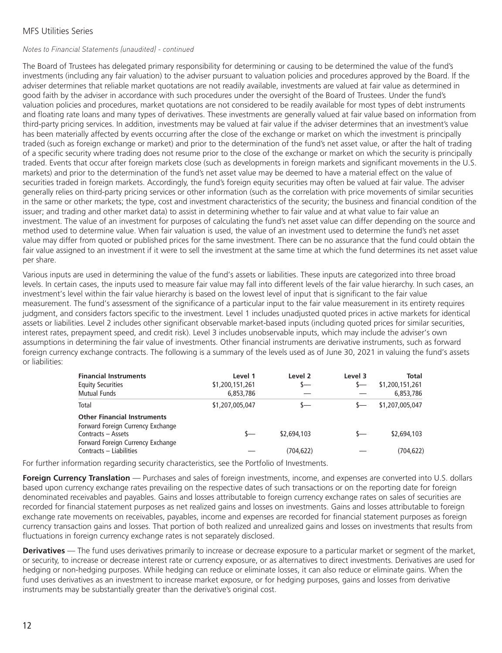#### *Notes to Financial Statements (unaudited) - continued*

The Board of Trustees has delegated primary responsibility for determining or causing to be determined the value of the fund's investments (including any fair valuation) to the adviser pursuant to valuation policies and procedures approved by the Board. If the adviser determines that reliable market quotations are not readily available, investments are valued at fair value as determined in good faith by the adviser in accordance with such procedures under the oversight of the Board of Trustees. Under the fund's valuation policies and procedures, market quotations are not considered to be readily available for most types of debt instruments and floating rate loans and many types of derivatives. These investments are generally valued at fair value based on information from third-party pricing services. In addition, investments may be valued at fair value if the adviser determines that an investment's value has been materially affected by events occurring after the close of the exchange or market on which the investment is principally traded (such as foreign exchange or market) and prior to the determination of the fund's net asset value, or after the halt of trading of a specific security where trading does not resume prior to the close of the exchange or market on which the security is principally traded. Events that occur after foreign markets close (such as developments in foreign markets and significant movements in the U.S. markets) and prior to the determination of the fund's net asset value may be deemed to have a material effect on the value of securities traded in foreign markets. Accordingly, the fund's foreign equity securities may often be valued at fair value. The adviser generally relies on third-party pricing services or other information (such as the correlation with price movements of similar securities in the same or other markets; the type, cost and investment characteristics of the security; the business and financial condition of the issuer; and trading and other market data) to assist in determining whether to fair value and at what value to fair value an investment. The value of an investment for purposes of calculating the fund's net asset value can differ depending on the source and method used to determine value. When fair valuation is used, the value of an investment used to determine the fund's net asset value may differ from quoted or published prices for the same investment. There can be no assurance that the fund could obtain the fair value assigned to an investment if it were to sell the investment at the same time at which the fund determines its net asset value per share.

Various inputs are used in determining the value of the fund's assets or liabilities. These inputs are categorized into three broad levels. In certain cases, the inputs used to measure fair value may fall into different levels of the fair value hierarchy. In such cases, an investment's level within the fair value hierarchy is based on the lowest level of input that is significant to the fair value measurement. The fund's assessment of the significance of a particular input to the fair value measurement in its entirety requires judgment, and considers factors specific to the investment. Level 1 includes unadjusted quoted prices in active markets for identical assets or liabilities. Level 2 includes other significant observable market-based inputs (including quoted prices for similar securities, interest rates, prepayment speed, and credit risk). Level 3 includes unobservable inputs, which may include the adviser's own assumptions in determining the fair value of investments. Other financial instruments are derivative instruments, such as forward foreign currency exchange contracts. The following is a summary of the levels used as of June 30, 2021 in valuing the fund's assets or liabilities:

| <b>Financial Instruments</b><br><b>Equity Securities</b><br><b>Mutual Funds</b> | Level 1<br>\$1,200,151,261<br>6,853,786 | Level <sub>2</sub><br>$s-$ | Level 3<br>$\sim$ | Total<br>\$1,200,151,261<br>6,853,786 |
|---------------------------------------------------------------------------------|-----------------------------------------|----------------------------|-------------------|---------------------------------------|
| Total                                                                           | \$1,207,005,047                         | s—                         |                   | \$1,207,005,047                       |
| <b>Other Financial Instruments</b><br>Forward Foreign Currency Exchange         |                                         |                            |                   |                                       |
| Contracts - Assets                                                              | s—                                      | \$2,694,103                | $\leftarrow$      | \$2,694,103                           |
| Forward Foreign Currency Exchange<br>Contracts - Liabilities                    |                                         | (704, 622)                 |                   | (704, 622)                            |

For further information regarding security characteristics, see the Portfolio of Investments.

**Foreign Currency Translation** — Purchases and sales of foreign investments, income, and expenses are converted into U.S. dollars based upon currency exchange rates prevailing on the respective dates of such transactions or on the reporting date for foreign denominated receivables and payables. Gains and losses attributable to foreign currency exchange rates on sales of securities are recorded for financial statement purposes as net realized gains and losses on investments. Gains and losses attributable to foreign exchange rate movements on receivables, payables, income and expenses are recorded for financial statement purposes as foreign currency transaction gains and losses. That portion of both realized and unrealized gains and losses on investments that results from fluctuations in foreign currency exchange rates is not separately disclosed.

**Derivatives** — The fund uses derivatives primarily to increase or decrease exposure to a particular market or segment of the market, or security, to increase or decrease interest rate or currency exposure, or as alternatives to direct investments. Derivatives are used for hedging or non-hedging purposes. While hedging can reduce or eliminate losses, it can also reduce or eliminate gains. When the fund uses derivatives as an investment to increase market exposure, or for hedging purposes, gains and losses from derivative instruments may be substantially greater than the derivative's original cost.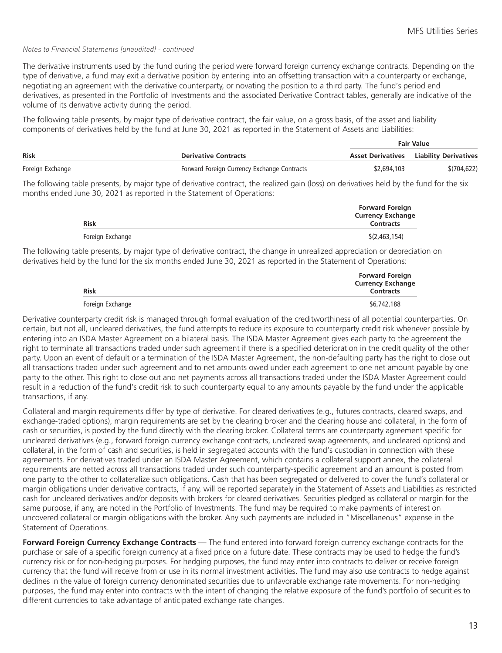#### *Notes to Financial Statements (unaudited) - continued*

The derivative instruments used by the fund during the period were forward foreign currency exchange contracts. Depending on the type of derivative, a fund may exit a derivative position by entering into an offsetting transaction with a counterparty or exchange, negotiating an agreement with the derivative counterparty, or novating the position to a third party. The fund's period end derivatives, as presented in the Portfolio of Investments and the associated Derivative Contract tables, generally are indicative of the volume of its derivative activity during the period.

The following table presents, by major type of derivative contract, the fair value, on a gross basis, of the asset and liability components of derivatives held by the fund at June 30, 2021 as reported in the Statement of Assets and Liabilities:

|                  |                                             | <b>Fair Value</b> |                                                |  |
|------------------|---------------------------------------------|-------------------|------------------------------------------------|--|
| Risk             | <b>Derivative Contracts</b>                 |                   | <b>Asset Derivatives</b> Liability Derivatives |  |
| Foreign Exchange | Forward Foreign Currency Exchange Contracts | \$2,694,103       | \$(704, 622)                                   |  |

The following table presents, by major type of derivative contract, the realized gain (loss) on derivatives held by the fund for the six months ended June 30, 2021 as reported in the Statement of Operations:

| <b>Risk</b>      | <b>Forward Foreign</b><br><b>Currency Exchange</b><br><b>Contracts</b> |
|------------------|------------------------------------------------------------------------|
| Foreign Exchange | \$(2,463,154)                                                          |

The following table presents, by major type of derivative contract, the change in unrealized appreciation or depreciation on derivatives held by the fund for the six months ended June 30, 2021 as reported in the Statement of Operations:

| <b>Risk</b>      | <b>Forward Foreign</b><br><b>Currency Exchange</b><br><b>Contracts</b> |
|------------------|------------------------------------------------------------------------|
| Foreign Exchange | \$6,742,188                                                            |

Derivative counterparty credit risk is managed through formal evaluation of the creditworthiness of all potential counterparties. On certain, but not all, uncleared derivatives, the fund attempts to reduce its exposure to counterparty credit risk whenever possible by entering into an ISDA Master Agreement on a bilateral basis. The ISDA Master Agreement gives each party to the agreement the right to terminate all transactions traded under such agreement if there is a specified deterioration in the credit quality of the other party. Upon an event of default or a termination of the ISDA Master Agreement, the non-defaulting party has the right to close out all transactions traded under such agreement and to net amounts owed under each agreement to one net amount payable by one party to the other. This right to close out and net payments across all transactions traded under the ISDA Master Agreement could result in a reduction of the fund's credit risk to such counterparty equal to any amounts payable by the fund under the applicable transactions, if any.

Collateral and margin requirements differ by type of derivative. For cleared derivatives (e.g., futures contracts, cleared swaps, and exchange-traded options), margin requirements are set by the clearing broker and the clearing house and collateral, in the form of cash or securities, is posted by the fund directly with the clearing broker. Collateral terms are counterparty agreement specific for uncleared derivatives (e.g., forward foreign currency exchange contracts, uncleared swap agreements, and uncleared options) and collateral, in the form of cash and securities, is held in segregated accounts with the fund's custodian in connection with these agreements. For derivatives traded under an ISDA Master Agreement, which contains a collateral support annex, the collateral requirements are netted across all transactions traded under such counterparty-specific agreement and an amount is posted from one party to the other to collateralize such obligations. Cash that has been segregated or delivered to cover the fund's collateral or margin obligations under derivative contracts, if any, will be reported separately in the Statement of Assets and Liabilities as restricted cash for uncleared derivatives and/or deposits with brokers for cleared derivatives. Securities pledged as collateral or margin for the same purpose, if any, are noted in the Portfolio of Investments. The fund may be required to make payments of interest on uncovered collateral or margin obligations with the broker. Any such payments are included in "Miscellaneous" expense in the Statement of Operations.

**Forward Foreign Currency Exchange Contracts** — The fund entered into forward foreign currency exchange contracts for the purchase or sale of a specific foreign currency at a fixed price on a future date. These contracts may be used to hedge the fund's currency risk or for non-hedging purposes. For hedging purposes, the fund may enter into contracts to deliver or receive foreign currency that the fund will receive from or use in its normal investment activities. The fund may also use contracts to hedge against declines in the value of foreign currency denominated securities due to unfavorable exchange rate movements. For non-hedging purposes, the fund may enter into contracts with the intent of changing the relative exposure of the fund's portfolio of securities to different currencies to take advantage of anticipated exchange rate changes.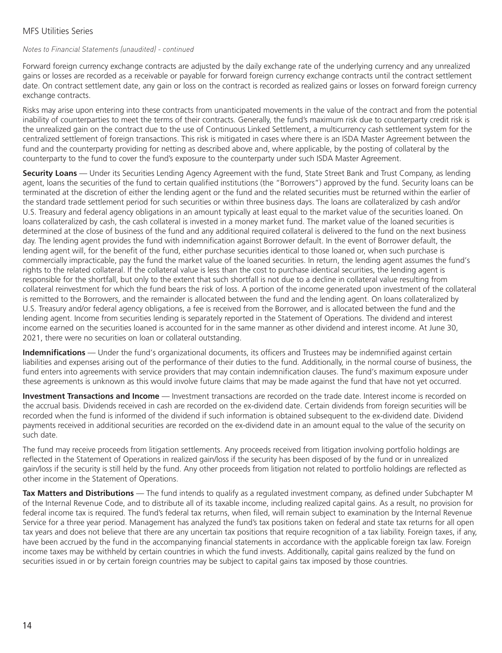### *Notes to Financial Statements (unaudited) - continued*

Forward foreign currency exchange contracts are adjusted by the daily exchange rate of the underlying currency and any unrealized gains or losses are recorded as a receivable or payable for forward foreign currency exchange contracts until the contract settlement date. On contract settlement date, any gain or loss on the contract is recorded as realized gains or losses on forward foreign currency exchange contracts.

Risks may arise upon entering into these contracts from unanticipated movements in the value of the contract and from the potential inability of counterparties to meet the terms of their contracts. Generally, the fund's maximum risk due to counterparty credit risk is the unrealized gain on the contract due to the use of Continuous Linked Settlement, a multicurrency cash settlement system for the centralized settlement of foreign transactions. This risk is mitigated in cases where there is an ISDA Master Agreement between the fund and the counterparty providing for netting as described above and, where applicable, by the posting of collateral by the counterparty to the fund to cover the fund's exposure to the counterparty under such ISDA Master Agreement.

**Security Loans** — Under its Securities Lending Agency Agreement with the fund, State Street Bank and Trust Company, as lending agent, loans the securities of the fund to certain qualified institutions (the "Borrowers") approved by the fund. Security loans can be terminated at the discretion of either the lending agent or the fund and the related securities must be returned within the earlier of the standard trade settlement period for such securities or within three business days. The loans are collateralized by cash and/or U.S. Treasury and federal agency obligations in an amount typically at least equal to the market value of the securities loaned. On loans collateralized by cash, the cash collateral is invested in a money market fund. The market value of the loaned securities is determined at the close of business of the fund and any additional required collateral is delivered to the fund on the next business day. The lending agent provides the fund with indemnification against Borrower default. In the event of Borrower default, the lending agent will, for the benefit of the fund, either purchase securities identical to those loaned or, when such purchase is commercially impracticable, pay the fund the market value of the loaned securities. In return, the lending agent assumes the fund's rights to the related collateral. If the collateral value is less than the cost to purchase identical securities, the lending agent is responsible for the shortfall, but only to the extent that such shortfall is not due to a decline in collateral value resulting from collateral reinvestment for which the fund bears the risk of loss. A portion of the income generated upon investment of the collateral is remitted to the Borrowers, and the remainder is allocated between the fund and the lending agent. On loans collateralized by U.S. Treasury and/or federal agency obligations, a fee is received from the Borrower, and is allocated between the fund and the lending agent. Income from securities lending is separately reported in the Statement of Operations. The dividend and interest income earned on the securities loaned is accounted for in the same manner as other dividend and interest income. At June 30, 2021, there were no securities on loan or collateral outstanding.

**Indemnifications** — Under the fund's organizational documents, its officers and Trustees may be indemnified against certain liabilities and expenses arising out of the performance of their duties to the fund. Additionally, in the normal course of business, the fund enters into agreements with service providers that may contain indemnification clauses. The fund's maximum exposure under these agreements is unknown as this would involve future claims that may be made against the fund that have not yet occurred.

**Investment Transactions and Income** — Investment transactions are recorded on the trade date. Interest income is recorded on the accrual basis. Dividends received in cash are recorded on the ex-dividend date. Certain dividends from foreign securities will be recorded when the fund is informed of the dividend if such information is obtained subsequent to the ex-dividend date. Dividend payments received in additional securities are recorded on the ex-dividend date in an amount equal to the value of the security on such date.

The fund may receive proceeds from litigation settlements. Any proceeds received from litigation involving portfolio holdings are reflected in the Statement of Operations in realized gain/loss if the security has been disposed of by the fund or in unrealized gain/loss if the security is still held by the fund. Any other proceeds from litigation not related to portfolio holdings are reflected as other income in the Statement of Operations.

**Tax Matters and Distributions** — The fund intends to qualify as a regulated investment company, as defined under Subchapter M of the Internal Revenue Code, and to distribute all of its taxable income, including realized capital gains. As a result, no provision for federal income tax is required. The fund's federal tax returns, when filed, will remain subject to examination by the Internal Revenue Service for a three year period. Management has analyzed the fund's tax positions taken on federal and state tax returns for all open tax years and does not believe that there are any uncertain tax positions that require recognition of a tax liability. Foreign taxes, if any, have been accrued by the fund in the accompanying financial statements in accordance with the applicable foreign tax law. Foreign income taxes may be withheld by certain countries in which the fund invests. Additionally, capital gains realized by the fund on securities issued in or by certain foreign countries may be subject to capital gains tax imposed by those countries.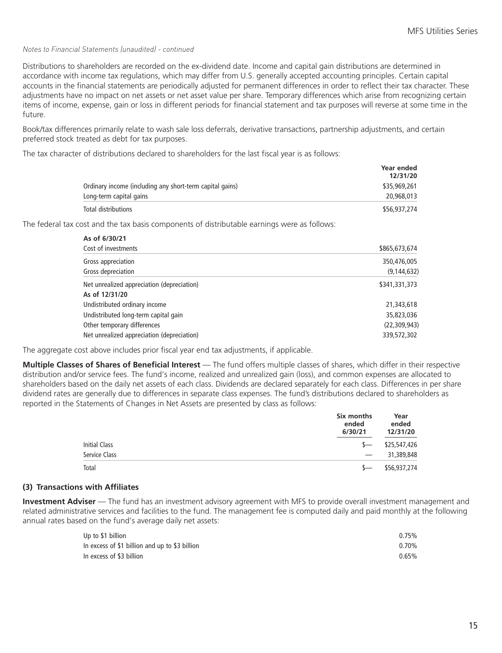#### *Notes to Financial Statements (unaudited) - continued*

Distributions to shareholders are recorded on the ex-dividend date. Income and capital gain distributions are determined in accordance with income tax regulations, which may differ from U.S. generally accepted accounting principles. Certain capital accounts in the financial statements are periodically adjusted for permanent differences in order to reflect their tax character. These adjustments have no impact on net assets or net asset value per share. Temporary differences which arise from recognizing certain items of income, expense, gain or loss in different periods for financial statement and tax purposes will reverse at some time in the future.

Book/tax differences primarily relate to wash sale loss deferrals, derivative transactions, partnership adjustments, and certain preferred stock treated as debt for tax purposes.

The tax character of distributions declared to shareholders for the last fiscal year is as follows:

|                                                          | <b>Year ended</b><br>12/31/20 |
|----------------------------------------------------------|-------------------------------|
| Ordinary income (including any short-term capital gains) | \$35,969,261                  |
| Long-term capital gains                                  | 20,968,013                    |
| Total distributions                                      | \$56,937,274                  |

The federal tax cost and the tax basis components of distributable earnings were as follows:

| As of 6/30/21                              |                |
|--------------------------------------------|----------------|
| Cost of investments                        | \$865,673,674  |
| Gross appreciation                         | 350,476,005    |
| Gross depreciation                         | (9, 144, 632)  |
| Net unrealized appreciation (depreciation) | \$341,331,373  |
| As of 12/31/20                             |                |
| Undistributed ordinary income              | 21,343,618     |
| Undistributed long-term capital gain       | 35,823,036     |
| Other temporary differences                | (22, 309, 943) |
| Net unrealized appreciation (depreciation) | 339,572,302    |

The aggregate cost above includes prior fiscal year end tax adjustments, if applicable.

**Multiple Classes of Shares of Beneficial Interest** — The fund offers multiple classes of shares, which differ in their respective distribution and/or service fees. The fund's income, realized and unrealized gain (loss), and common expenses are allocated to shareholders based on the daily net assets of each class. Dividends are declared separately for each class. Differences in per share dividend rates are generally due to differences in separate class expenses. The fund's distributions declared to shareholders as reported in the Statements of Changes in Net Assets are presented by class as follows:

|                      | Six months<br>ended<br>6/30/21  | Year<br>ended<br>12/31/20 |  |
|----------------------|---------------------------------|---------------------------|--|
| <b>Initial Class</b> | $S-$                            | \$25,547,426              |  |
| Service Class        | $\hspace{0.1mm}-\hspace{0.1mm}$ | 31,389,848                |  |
| Total                |                                 | \$56,937,274              |  |

#### **(3) Transactions with Affiliates**

**Investment Adviser** — The fund has an investment advisory agreement with MFS to provide overall investment management and related administrative services and facilities to the fund. The management fee is computed daily and paid monthly at the following annual rates based on the fund's average daily net assets:

| Up to \$1 billion                              | 0.75% |
|------------------------------------------------|-------|
| In excess of \$1 billion and up to \$3 billion | 0.70% |
| In excess of \$3 billion                       | 0.65% |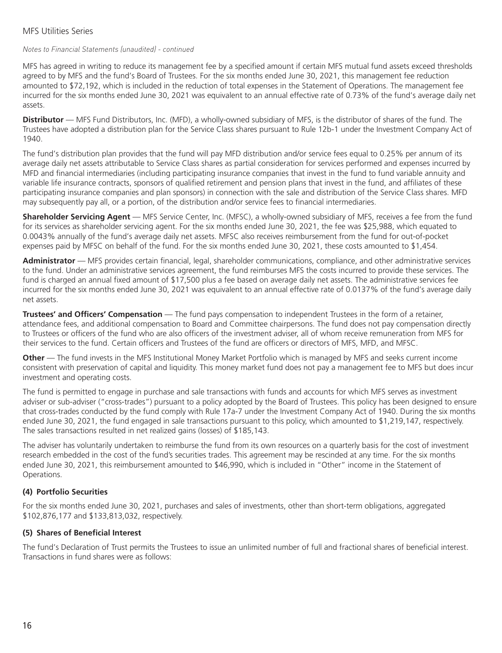### *Notes to Financial Statements (unaudited) - continued*

MFS has agreed in writing to reduce its management fee by a specified amount if certain MFS mutual fund assets exceed thresholds agreed to by MFS and the fund's Board of Trustees. For the six months ended June 30, 2021, this management fee reduction amounted to \$72,192, which is included in the reduction of total expenses in the Statement of Operations. The management fee incurred for the six months ended June 30, 2021 was equivalent to an annual effective rate of 0.73% of the fund's average daily net assets.

**Distributor** — MFS Fund Distributors, Inc. (MFD), a wholly-owned subsidiary of MFS, is the distributor of shares of the fund. The Trustees have adopted a distribution plan for the Service Class shares pursuant to Rule 12b-1 under the Investment Company Act of 1940.

The fund's distribution plan provides that the fund will pay MFD distribution and/or service fees equal to 0.25% per annum of its average daily net assets attributable to Service Class shares as partial consideration for services performed and expenses incurred by MFD and financial intermediaries (including participating insurance companies that invest in the fund to fund variable annuity and variable life insurance contracts, sponsors of qualified retirement and pension plans that invest in the fund, and affiliates of these participating insurance companies and plan sponsors) in connection with the sale and distribution of the Service Class shares. MFD may subsequently pay all, or a portion, of the distribution and/or service fees to financial intermediaries.

**Shareholder Servicing Agent** — MFS Service Center, Inc. (MFSC), a wholly-owned subsidiary of MFS, receives a fee from the fund for its services as shareholder servicing agent. For the six months ended June 30, 2021, the fee was \$25,988, which equated to 0.0043% annually of the fund's average daily net assets. MFSC also receives reimbursement from the fund for out-of-pocket expenses paid by MFSC on behalf of the fund. For the six months ended June 30, 2021, these costs amounted to \$1,454.

**Administrator** — MFS provides certain financial, legal, shareholder communications, compliance, and other administrative services to the fund. Under an administrative services agreement, the fund reimburses MFS the costs incurred to provide these services. The fund is charged an annual fixed amount of \$17,500 plus a fee based on average daily net assets. The administrative services fee incurred for the six months ended June 30, 2021 was equivalent to an annual effective rate of 0.0137% of the fund's average daily net assets.

**Trustees' and Officers' Compensation** — The fund pays compensation to independent Trustees in the form of a retainer, attendance fees, and additional compensation to Board and Committee chairpersons. The fund does not pay compensation directly to Trustees or officers of the fund who are also officers of the investment adviser, all of whom receive remuneration from MFS for their services to the fund. Certain officers and Trustees of the fund are officers or directors of MFS, MFD, and MFSC.

**Other** — The fund invests in the MFS Institutional Money Market Portfolio which is managed by MFS and seeks current income consistent with preservation of capital and liquidity. This money market fund does not pay a management fee to MFS but does incur investment and operating costs.

The fund is permitted to engage in purchase and sale transactions with funds and accounts for which MFS serves as investment adviser or sub-adviser ("cross-trades") pursuant to a policy adopted by the Board of Trustees. This policy has been designed to ensure that cross-trades conducted by the fund comply with Rule 17a-7 under the Investment Company Act of 1940. During the six months ended June 30, 2021, the fund engaged in sale transactions pursuant to this policy, which amounted to \$1,219,147, respectively. The sales transactions resulted in net realized gains (losses) of \$185,143.

The adviser has voluntarily undertaken to reimburse the fund from its own resources on a quarterly basis for the cost of investment research embedded in the cost of the fund's securities trades. This agreement may be rescinded at any time. For the six months ended June 30, 2021, this reimbursement amounted to \$46,990, which is included in "Other" income in the Statement of Operations.

### **(4) Portfolio Securities**

For the six months ended June 30, 2021, purchases and sales of investments, other than short-term obligations, aggregated \$102,876,177 and \$133,813,032, respectively.

### **(5) Shares of Beneficial Interest**

The fund's Declaration of Trust permits the Trustees to issue an unlimited number of full and fractional shares of beneficial interest. Transactions in fund shares were as follows: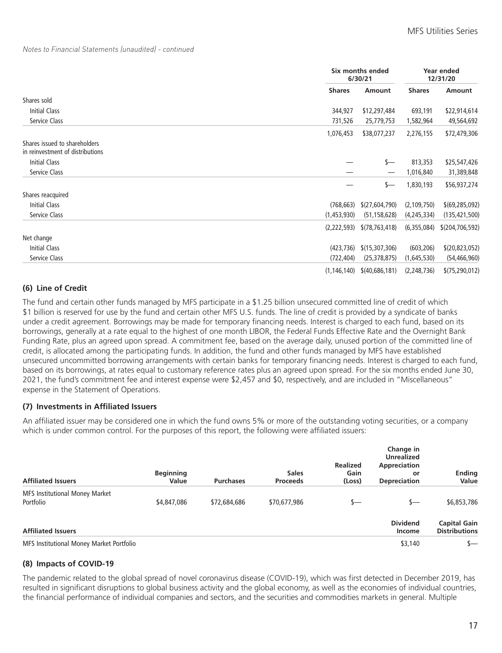#### *Notes to Financial Statements (unaudited) - continued*

|                                                                   |               | Six months ended<br>6/30/21  |               | Year ended<br>12/31/20 |
|-------------------------------------------------------------------|---------------|------------------------------|---------------|------------------------|
|                                                                   | <b>Shares</b> | <b>Amount</b>                | <b>Shares</b> | Amount                 |
| Shares sold                                                       |               |                              |               |                        |
| <b>Initial Class</b>                                              | 344,927       | \$12,297,484                 | 693,191       | \$22,914,614           |
| Service Class                                                     | 731,526       | 25,779,753                   | 1,582,964     | 49,564,692             |
|                                                                   | 1,076,453     | \$38,077,237                 | 2,276,155     | \$72,479,306           |
| Shares issued to shareholders<br>in reinvestment of distributions |               |                              |               |                        |
| Initial Class                                                     |               | $s-$                         | 813,353       | \$25,547,426           |
| Service Class                                                     |               |                              | 1,016,840     | 31,389,848             |
|                                                                   |               | $s-$                         | 1,830,193     | \$56,937,274           |
| Shares reacquired                                                 |               |                              |               |                        |
| Initial Class                                                     | (768, 663)    | \$(27,604,790)               | (2, 109, 750) | \$(69, 285, 092)       |
| Service Class                                                     | (1,453,930)   | (51, 158, 628)               | (4,245,334)   | (135, 421, 500)        |
|                                                                   |               | $(2,222,593)$ $(78,763,418)$ | (6,355,084)   | \$(204, 706, 592)      |
| Net change                                                        |               |                              |               |                        |
| Initial Class                                                     | (423, 736)    | \$(15,307,306)               | (603, 206)    | \$(20, 823, 052)       |
| Service Class                                                     | (722, 404)    | (25, 378, 875)               | (1,645,530)   | (54, 466, 960)         |
|                                                                   | (1, 146, 140) | \$(40, 686, 181)             | (2, 248, 736) | \$(75, 290, 012)       |

### **(6) Line of Credit**

The fund and certain other funds managed by MFS participate in a \$1.25 billion unsecured committed line of credit of which \$1 billion is reserved for use by the fund and certain other MFS U.S. funds. The line of credit is provided by a syndicate of banks under a credit agreement. Borrowings may be made for temporary financing needs. Interest is charged to each fund, based on its borrowings, generally at a rate equal to the highest of one month LIBOR, the Federal Funds Effective Rate and the Overnight Bank Funding Rate, plus an agreed upon spread. A commitment fee, based on the average daily, unused portion of the committed line of credit, is allocated among the participating funds. In addition, the fund and other funds managed by MFS have established unsecured uncommitted borrowing arrangements with certain banks for temporary financing needs. Interest is charged to each fund, based on its borrowings, at rates equal to customary reference rates plus an agreed upon spread. For the six months ended June 30, 2021, the fund's commitment fee and interest expense were \$2,457 and \$0, respectively, and are included in "Miscellaneous" expense in the Statement of Operations.

### **(7) Investments in Affiliated Issuers**

An affiliated issuer may be considered one in which the fund owns 5% or more of the outstanding voting securities, or a company which is under common control. For the purposes of this report, the following were affiliated issuers:

| <b>Affiliated Issuers</b>                          | <b>Beginning</b><br>Value | <b>Purchases</b> | <b>Sales</b><br><b>Proceeds</b> | <b>Realized</b><br>Gain<br>(Loss) | Change in<br><b>Unrealized</b><br>Appreciation<br>or<br><b>Depreciation</b> | <b>Ending</b><br>Value                      |
|----------------------------------------------------|---------------------------|------------------|---------------------------------|-----------------------------------|-----------------------------------------------------------------------------|---------------------------------------------|
| <b>MFS Institutional Money Market</b><br>Portfolio | \$4,847,086               | \$72,684,686     | \$70,677,986                    | s—                                | s—                                                                          | \$6,853,786                                 |
| <b>Affiliated Issuers</b>                          |                           |                  |                                 |                                   | <b>Dividend</b><br>Income                                                   | <b>Capital Gain</b><br><b>Distributions</b> |
| MFS Institutional Money Market Portfolio           |                           |                  |                                 |                                   | \$3,140                                                                     | s—                                          |

### **(8) Impacts of COVID-19**

The pandemic related to the global spread of novel coronavirus disease (COVID-19), which was first detected in December 2019, has resulted in significant disruptions to global business activity and the global economy, as well as the economies of individual countries, the financial performance of individual companies and sectors, and the securities and commodities markets in general. Multiple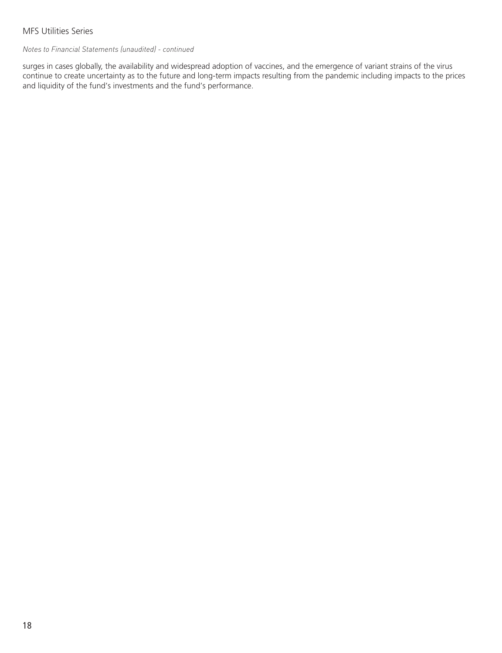### *Notes to Financial Statements (unaudited) - continued*

surges in cases globally, the availability and widespread adoption of vaccines, and the emergence of variant strains of the virus continue to create uncertainty as to the future and long-term impacts resulting from the pandemic including impacts to the prices and liquidity of the fund's investments and the fund's performance.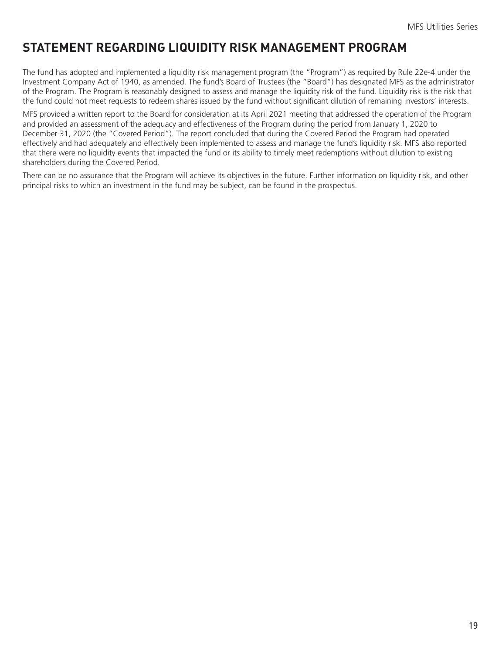# <span id="page-20-0"></span>**STATEMENT REGARDING LIQUIDITY RISK MANAGEMENT PROGRAM**

The fund has adopted and implemented a liquidity risk management program (the "Program") as required by Rule 22e-4 under the Investment Company Act of 1940, as amended. The fund's Board of Trustees (the "Board") has designated MFS as the administrator of the Program. The Program is reasonably designed to assess and manage the liquidity risk of the fund. Liquidity risk is the risk that the fund could not meet requests to redeem shares issued by the fund without significant dilution of remaining investors' interests.

MFS provided a written report to the Board for consideration at its April 2021 meeting that addressed the operation of the Program and provided an assessment of the adequacy and effectiveness of the Program during the period from January 1, 2020 to December 31, 2020 (the "Covered Period"). The report concluded that during the Covered Period the Program had operated effectively and had adequately and effectively been implemented to assess and manage the fund's liquidity risk. MFS also reported that there were no liquidity events that impacted the fund or its ability to timely meet redemptions without dilution to existing shareholders during the Covered Period.

There can be no assurance that the Program will achieve its objectives in the future. Further information on liquidity risk, and other principal risks to which an investment in the fund may be subject, can be found in the prospectus.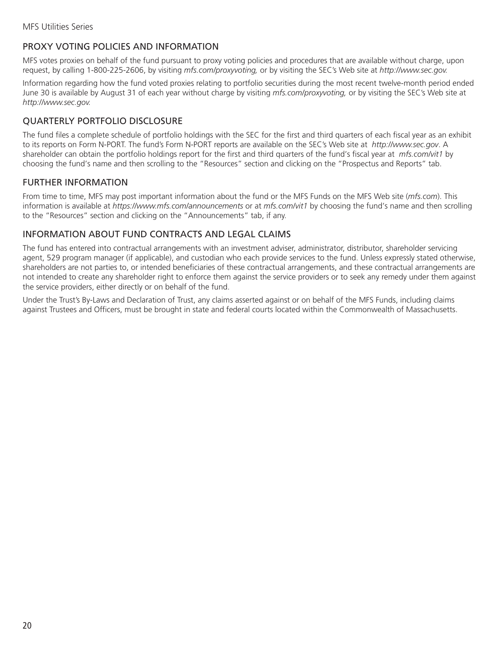### <span id="page-21-0"></span>PROXY VOTING POLICIES AND INFORMATION

MFS votes proxies on behalf of the fund pursuant to proxy voting policies and procedures that are available without charge, upon request, by calling 1-800-225-2606, by visiting *mfs.com/proxyvoting,* or by visiting the SEC's Web site at *http://www.sec.gov.*

Information regarding how the fund voted proxies relating to portfolio securities during the most recent twelve-month period ended June 30 is available by August 31 of each year without charge by visiting *mfs.com/proxyvoting,* or by visiting the SEC's Web site at *http://www.sec.gov.*

### QUARTERLY PORTFOLIO DISCLOSURE

The fund files a complete schedule of portfolio holdings with the SEC for the first and third quarters of each fiscal year as an exhibit to its reports on Form N-PORT. The fund's Form N-PORT reports are available on the SEC's Web site at *http://www.sec.gov*. A shareholder can obtain the portfolio holdings report for the first and third quarters of the fund's fiscal year at *mfs.com/vit1* by choosing the fund's name and then scrolling to the "Resources" section and clicking on the "Prospectus and Reports" tab.

### FURTHER INFORMATION

From time to time, MFS may post important information about the fund or the MFS Funds on the MFS Web site (*mfs.com*). This information is available at *https://www.mfs.com/announcements* or at *mfs.com/vit1* by choosing the fund's name and then scrolling to the "Resources" section and clicking on the "Announcements" tab, if any.

### INFORMATION ABOUT FUND CONTRACTS AND LEGAL CLAIMS

The fund has entered into contractual arrangements with an investment adviser, administrator, distributor, shareholder servicing agent, 529 program manager (if applicable), and custodian who each provide services to the fund. Unless expressly stated otherwise, shareholders are not parties to, or intended beneficiaries of these contractual arrangements, and these contractual arrangements are not intended to create any shareholder right to enforce them against the service providers or to seek any remedy under them against the service providers, either directly or on behalf of the fund.

Under the Trust's By-Laws and Declaration of Trust, any claims asserted against or on behalf of the MFS Funds, including claims against Trustees and Officers, must be brought in state and federal courts located within the Commonwealth of Massachusetts.